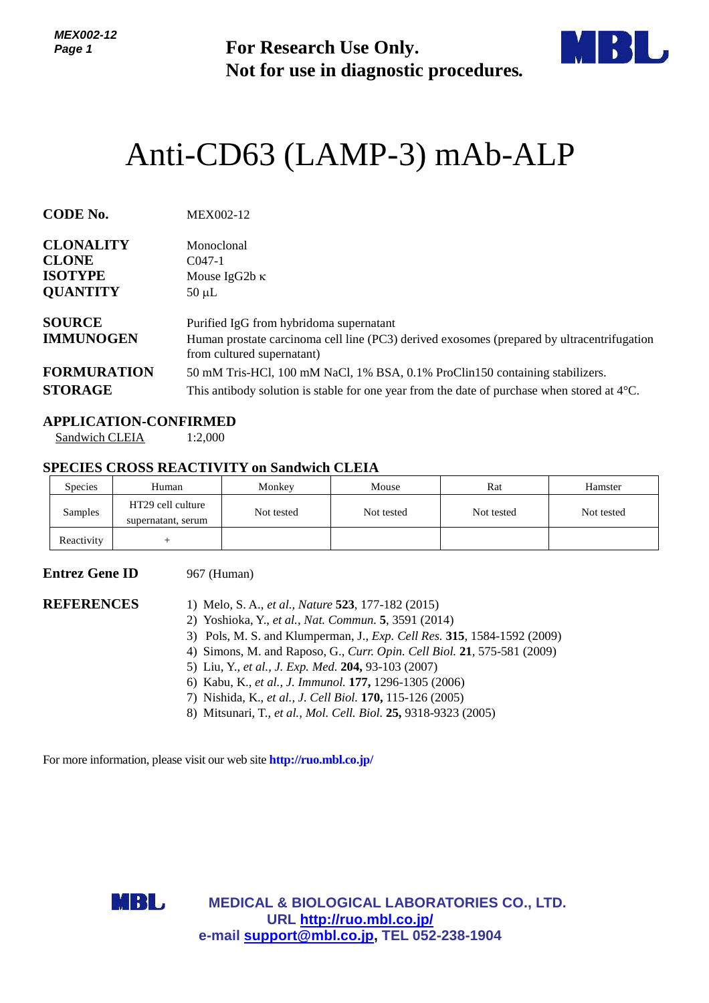*MEX002-12 Page 1*

**For Research Use Only. Not for use in diagnostic procedures.**



# Anti-CD63 (LAMP-3) mAb-ALP

| <b>CODE No.</b>                   | MEX002-12                                                                                                                                                           |
|-----------------------------------|---------------------------------------------------------------------------------------------------------------------------------------------------------------------|
| <b>CLONALITY</b>                  | Monoclonal                                                                                                                                                          |
| <b>CLONE</b>                      | $C047-1$                                                                                                                                                            |
| <b>ISOTYPE</b>                    | Mouse IgG2b $\kappa$                                                                                                                                                |
| <b>QUANTITY</b>                   | $50 \mu L$                                                                                                                                                          |
| <b>SOURCE</b><br><b>IMMUNOGEN</b> | Purified IgG from hybridoma supernatant<br>Human prostate carcinoma cell line (PC3) derived exosomes (prepared by ultracentrifugation<br>from cultured supernatant) |
| <b>FORMURATION</b>                | 50 mM Tris-HCl, 100 mM NaCl, 1% BSA, 0.1% ProClin150 containing stabilizers.                                                                                        |
| <b>STORAGE</b>                    | This antibody solution is stable for one year from the date of purchase when stored at $4^{\circ}$ C.                                                               |

#### **APPLICATION-CONFIRMED**

Sandwich CLEIA 1:2,000

### **SPECIES CROSS REACTIVITY on Sandwich CLEIA**

| <b>Species</b> | Human                                   | Monkey     | Mouse      | Rat        | Hamster    |
|----------------|-----------------------------------------|------------|------------|------------|------------|
| Samples        | HT29 cell culture<br>supernatant, serum | Not tested | Not tested | Not tested | Not tested |
| Reactivity     |                                         |            |            |            |            |

## **Entrez Gene ID** 967 (Human)

- **REFERENCES** 1) Melo, S. A., *et al., Nature* **523**, 177-182 (2015)
	- 2) Yoshioka, Y., *et al., Nat. Commun.* **5**, 3591 (2014)
	- 3) Pols, M. S. and Klumperman, J., *Exp. Cell Res.* **315**, 1584-1592 (2009)
	- 4) Simons, M. and Raposo, G., *Curr. Opin. Cell Biol.* **21**, 575-581 (2009)
	- 5) Liu, Y., *et al., J. Exp. Med.* **204,** 93-103 (2007)
	- 6) Kabu, K., *et al., J. Immunol.* **177,** 1296-1305 (2006)
	- 7) Nishida, K., *et al., J. Cell Biol.* **170,** 115-126 (2005)
	- 8) Mitsunari, T., *et al., Mol. Cell. Biol.* **25,** 9318-9323 (2005)

For more information, please visit our web site **<http://ruo.mbl.co.jp/>**



**MEDICAL & BIOLOGICAL LABORATORIES CO., LTD. URL <http://ruo.mbl.co.jp/> e-mail [support@mbl.co.jp,](mailto:support@mbl.co.jp) TEL 052-238-1904**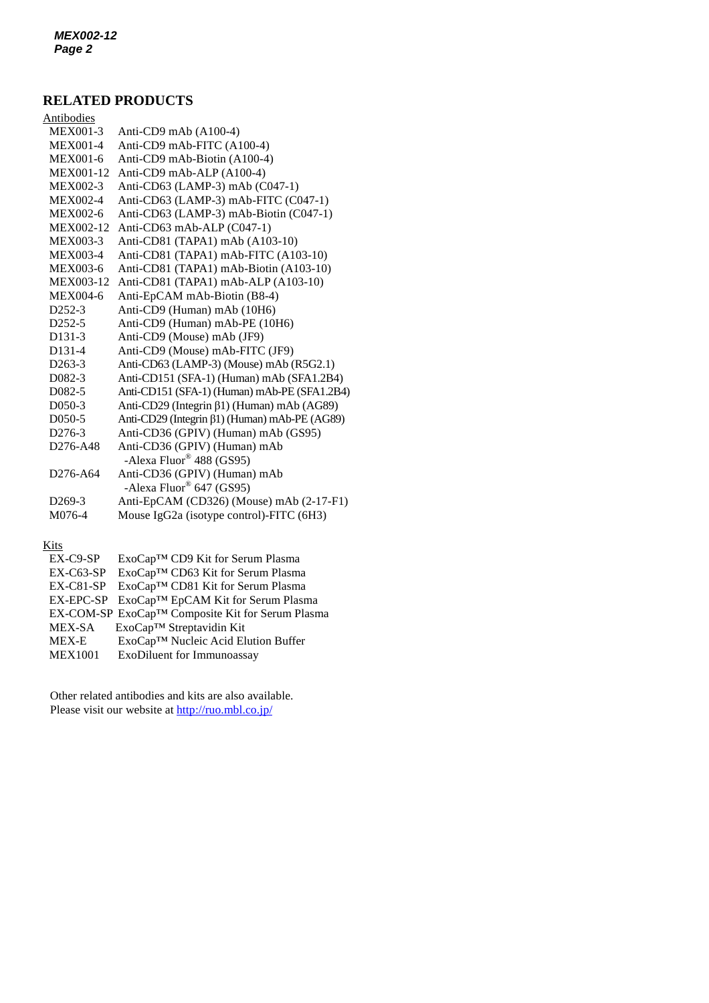## **RELATED PRODUCTS**

| 2008 - 80                         |                                               |
|-----------------------------------|-----------------------------------------------|
| Antibodies                        |                                               |
| <b>MEX001-3</b>                   | Anti-CD9 mAb (A100-4)                         |
| <b>MEX001-4</b>                   | Anti-CD9 mAb-FITC (A100-4)                    |
| MEX001-6                          | Anti-CD9 mAb-Biotin (A100-4)                  |
| MEX001-12                         | Anti-CD9 mAb-ALP (A100-4)                     |
| <b>MEX002-3</b>                   | Anti-CD63 (LAMP-3) mAb (C047-1)               |
| MEX002-4                          | Anti-CD63 (LAMP-3) mAb-FITC (C047-1)          |
| <b>MEX002-6</b>                   | Anti-CD63 (LAMP-3) mAb-Biotin (C047-1)        |
| MEX002-12                         | Anti-CD63 mAb-ALP (C047-1)                    |
| <b>MEX003-3</b>                   | Anti-CD81 (TAPA1) mAb (A103-10)               |
| <b>MEX003-4</b>                   | Anti-CD81 (TAPA1) mAb-FITC (A103-10)          |
| <b>MEX003-6</b>                   | Anti-CD81 (TAPA1) mAb-Biotin (A103-10)        |
| MEX003-12                         | Anti-CD81 (TAPA1) mAb-ALP (A103-10)           |
| <b>MEX004-6</b>                   | Anti-EpCAM mAb-Biotin (B8-4)                  |
| D <sub>252</sub> -3               | Anti-CD9 (Human) mAb (10H6)                   |
| D <sub>252</sub> -5               | Anti-CD9 (Human) mAb-PE (10H6)                |
| D <sub>131</sub> -3               | Anti-CD9 (Mouse) mAb (JF9)                    |
| D131-4                            | Anti-CD9 (Mouse) mAb-FITC (JF9)               |
| $D263-3$                          | Anti-CD63 (LAMP-3) (Mouse) mAb (R5G2.1)       |
| D <sub>0</sub> 82-3               | Anti-CD151 (SFA-1) (Human) mAb (SFA1.2B4)     |
| D <sub>0</sub> 82-5               | Anti-CD151 (SFA-1) (Human) mAb-PE (SFA1.2B4)  |
| D <sub>050</sub> -3               | Anti-CD29 (Integrin β1) (Human) mAb (AG89)    |
| D <sub>050</sub> -5               | Anti-CD29 (Integrin β1) (Human) mAb-PE (AG89) |
| D <sub>276-3</sub>                | Anti-CD36 (GPIV) (Human) mAb (GS95)           |
| D276-A48                          | Anti-CD36 (GPIV) (Human) mAb                  |
|                                   | -Alexa Fluor <sup>®</sup> 488 (GS95)          |
| D <sub>276</sub> -A <sub>64</sub> | Anti-CD36 (GPIV) (Human) mAb                  |
|                                   | -Alexa Fluor <sup>®</sup> 647 (GS95)          |
| D <sub>269</sub> -3               | Anti-EpCAM (CD326) (Mouse) mAb (2-17-F1)      |
| M076-4                            | Mouse IgG2a (isotype control)-FITC (6H3)      |
|                                   |                                               |

#### Kits

| $EX-C9-SP$     | ExoCap™ CD9 Kit for Serum Plasma                 |
|----------------|--------------------------------------------------|
| $EX-C63-SP$    | ExoCap™ CD63 Kit for Serum Plasma                |
| $EX-C81-SP$    | ExoCap™ CD81 Kit for Serum Plasma                |
|                | EX-EPC-SP ExoCap™ EpCAM Kit for Serum Plasma     |
|                | EX-COM-SP ExoCap™ Composite Kit for Serum Plasma |
| MEX-SA         | ExoCap <sup>™</sup> Streptavidin Kit             |
| <b>MEX-E</b>   | ExoCap™ Nucleic Acid Elution Buffer              |
| <b>MEX1001</b> | ExoDiluent for Immunoassay                       |
|                |                                                  |

Other related antibodies and kits are also available. Please visit our website at<http://ruo.mbl.co.jp/>